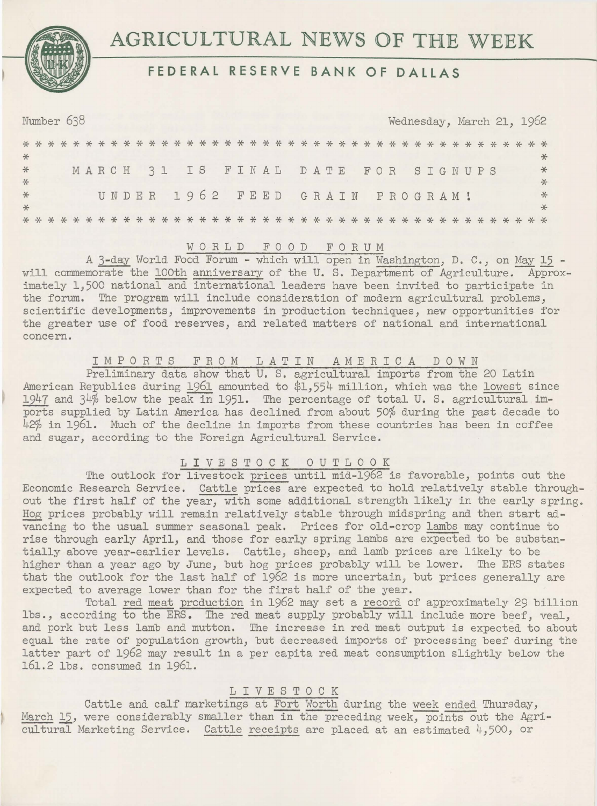# AGRICULTURAL NEWS OF THE WEEK



| Number 638<br>Wednesday, March 21, 1962 |  |  |  |  |  |  |  |  |  |  |  |  |  |  |  |                                |  |  |  |  |  |  |  |  |                                    |  |  |  |        |
|-----------------------------------------|--|--|--|--|--|--|--|--|--|--|--|--|--|--|--|--------------------------------|--|--|--|--|--|--|--|--|------------------------------------|--|--|--|--------|
|                                         |  |  |  |  |  |  |  |  |  |  |  |  |  |  |  |                                |  |  |  |  |  |  |  |  |                                    |  |  |  |        |
| $*$                                     |  |  |  |  |  |  |  |  |  |  |  |  |  |  |  |                                |  |  |  |  |  |  |  |  |                                    |  |  |  | $\ast$ |
| $\ast$                                  |  |  |  |  |  |  |  |  |  |  |  |  |  |  |  |                                |  |  |  |  |  |  |  |  | MARCH 31 IS FINAL DATE FOR SIGNUPS |  |  |  | $*$    |
| $*$                                     |  |  |  |  |  |  |  |  |  |  |  |  |  |  |  |                                |  |  |  |  |  |  |  |  |                                    |  |  |  | $*$    |
| $*$                                     |  |  |  |  |  |  |  |  |  |  |  |  |  |  |  | UNDER 1962 FEED GRAIN PROGRAM! |  |  |  |  |  |  |  |  |                                    |  |  |  | $*$    |
| $*$                                     |  |  |  |  |  |  |  |  |  |  |  |  |  |  |  |                                |  |  |  |  |  |  |  |  |                                    |  |  |  | $\ast$ |
|                                         |  |  |  |  |  |  |  |  |  |  |  |  |  |  |  |                                |  |  |  |  |  |  |  |  |                                    |  |  |  |        |

WORLD FOOD FORUM<br>A 3-day World Food Forum - which will open in Washington, D. C., on May 15 will commemorate the 100th anniversary of the U.S. Department of Agriculture. Approximately 1,500 national and international leaders have been invited to participate in the forum. The program will include consideration of modern agricultural problems, scientific developments, improvements in production techniques, new opportunities for the greater use of food reserves, and related matters of national and international concern.

## IMPORTS FROM LATIN AMERICA DOWN

Preliminary data show that U. S. agricultural imports from the 20 Latin American Republics during 1961 amounted to \$1,554 million, which was the lowest since 1947 and 34% below the peak in 1951. The percentage of total U. S. agricultural imports supplied by Latin America has declined from about 50% during the past decade to 42% in 1961. Much of the decline in imports from these countries has been in coffee and sugar, according to the Foreign Agricultural Service.

## LIVESTOCK OUTLOOK

The outlook for livestock prices until mid-1962 is favorable, points out the Economic Research Service. Cattle prices are expected to hold relatively stable throughout the first half of the year, with some additional strength likely in the early spring. Hog prices probably will remain relatively stable through midspring and then start advancing to the usual summer seasonal peak. Prices for old-crop lambs may continue to rise through early April, and those for early spring lambs are expected to be substantially above year-earlier levels. Cattle, sheep, and lamb prices are likely to be higher than a year ago by June, but hog prices probably will be lower. The ERS states that the outlook for the last half of 1962 is more uncertain, but prices generally are expected to average lower than for the first half of the year.

Total red meat production in 1962 may set a record of approximately 29 billion lbs., according to the ERS. The red meat supply probably will include more beef, veal, and pork but less lamb and mutton. The increase in red meat output is expected to about equal the rate of population growth, but decreased imports of processing beef during the latter part of 1962 may result in a per capita red meat consumption slightly below the 161.2 lbs. consumed in 1961.

#### LIVESTOCK

Cattle and calf marketings at Fort Worth during the week ended Thursday, March 15, were considerably smaller than in the preceding week, points out the Agricultural Marketing Service. Cattle receipts are placed at an estimated 4,500, or